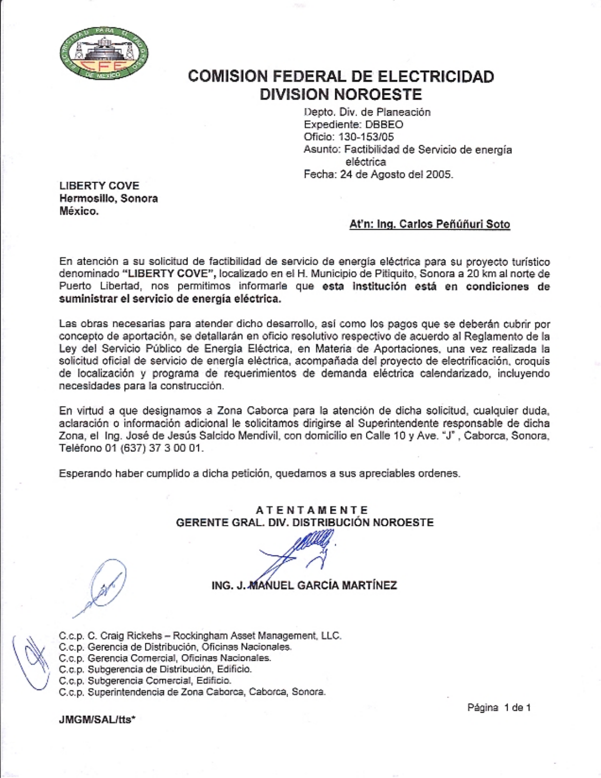

## **COMISION FEDERAL DE ELECTRICIDAD DIVISION NOROESTE**

Depto, Div. de Planeación Expediente: DBBEO Oficio: 130-153/05 Asunto: Factibilidad de Servicio de energía eléctrica Fecha: 24 de Agosto del 2005.

**LIBERTY COVE** Hermosillo, Sonora México.

## At'n: Ing. Carlos Peñúñuri Soto

En atención a su solicitud de factibilidad de servicio de energía eléctrica para su provecto turístico denominado "LIBERTY COVE", localizado en el H. Municipio de Pitiquito, Sonora a 20 km al norte de Puerto Libertad, nos permitimos informarle que esta institución está en condiciones de suministrar el servicio de energía eléctrica.

Las obras necesarias para atender dicho desarrollo, así como los pagos que se deberán cubrir por concepto de aportación, se detallarán en oficio resolutivo respectivo de acuerdo al Reglamento de la Ley del Servicio Público de Energía Eléctrica, en Materia de Aportaciones, una vez realizada la solicitud oficial de servicio de energía eléctrica, acompañada del proyecto de electrificación, croquis de localización y programa de requerimientos de demanda eléctrica calendarizado, incluyendo necesidades para la construcción.

En virtud a que designamos a Zona Caborca para la atención de dicha solicitud, cualquier duda, aclaración o información adicional le solicitamos dirigirse al Superintendente responsable de dicha Zona, el Ing. José de Jesús Salcido Mendivil, con domicilio en Calle 10 y Ave. "J", Caborca, Sonora, Teléfono 01 (637) 37 3 00 01.

Esperando haber cumplido a dicha petición, quedamos a sus apreciables ordenes.

## **ATENTAMENTE** GERENTE GRAL, DIV. DISTRIBUCIÓN NOROESTE

ING. J. MANUEL GARCÍA MARTÍNEZ

- C.c.p. C. Craig Rickehs Rockingham Asset Management, LLC. C.c.p. Gerencia de Distribución, Oficinas Nacionales. C.c.p. Gerencia Comercial, Oficinas Nacionales.
- 
- C.c.p. Subgerencia de Distribución, Edificio.
- C.c.p. Subgerencia Comercial, Edificio.
- C.c.p. Superintendencia de Zona Caborca, Caborca, Sonora.

JMGM/SAL/tts\*